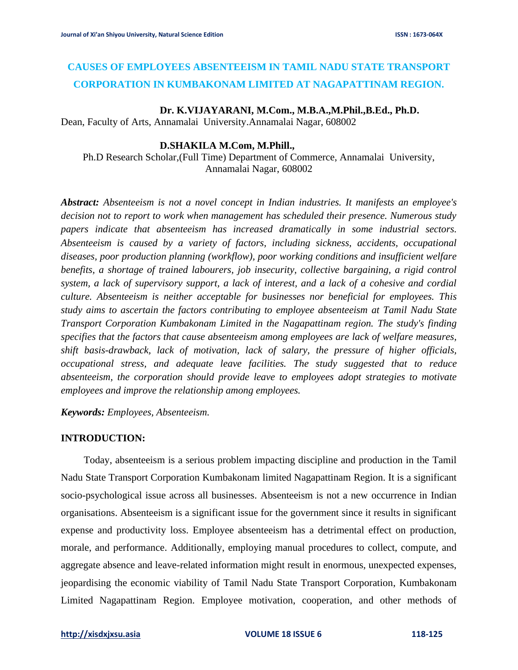# **CAUSES OF EMPLOYEES ABSENTEEISM IN TAMIL NADU STATE TRANSPORT CORPORATION IN KUMBAKONAM LIMITED AT NAGAPATTINAM REGION.**

### **Dr. K.VIJAYARANI, M.Com., M.B.A.,M.Phil.,B.Ed., Ph.D.**

Dean, Faculty of Arts, Annamalai University.Annamalai Nagar, 608002

### **D.SHAKILA M.Com, M.Phill.,**

Ph.D Research Scholar,(Full Time) Department of Commerce, Annamalai University, Annamalai Nagar, 608002

*Abstract: Absenteeism is not a novel concept in Indian industries. It manifests an employee's decision not to report to work when management has scheduled their presence. Numerous study papers indicate that absenteeism has increased dramatically in some industrial sectors. Absenteeism is caused by a variety of factors, including sickness, accidents, occupational diseases, poor production planning (workflow), poor working conditions and insufficient welfare benefits, a shortage of trained labourers, job insecurity, collective bargaining, a rigid control system, a lack of supervisory support, a lack of interest, and a lack of a cohesive and cordial culture. Absenteeism is neither acceptable for businesses nor beneficial for employees. This study aims to ascertain the factors contributing to employee absenteeism at Tamil Nadu State Transport Corporation Kumbakonam Limited in the Nagapattinam region. The study's finding specifies that the factors that cause absenteeism among employees are lack of welfare measures, shift basis-drawback, lack of motivation, lack of salary, the pressure of higher officials, occupational stress, and adequate leave facilities. The study suggested that to reduce absenteeism, the corporation should provide leave to employees adopt strategies to motivate employees and improve the relationship among employees.*

*Keywords: Employees, Absenteeism.*

#### **INTRODUCTION:**

 Today, absenteeism is a serious problem impacting discipline and production in the Tamil Nadu State Transport Corporation Kumbakonam limited Nagapattinam Region. It is a significant socio-psychological issue across all businesses. Absenteeism is not a new occurrence in Indian organisations. Absenteeism is a significant issue for the government since it results in significant expense and productivity loss. Employee absenteeism has a detrimental effect on production, morale, and performance. Additionally, employing manual procedures to collect, compute, and aggregate absence and leave-related information might result in enormous, unexpected expenses, jeopardising the economic viability of Tamil Nadu State Transport Corporation, Kumbakonam Limited Nagapattinam Region. Employee motivation, cooperation, and other methods of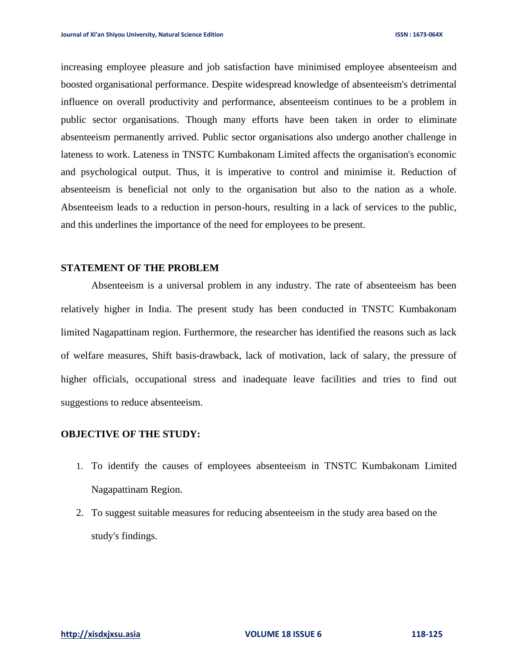increasing employee pleasure and job satisfaction have minimised employee absenteeism and boosted organisational performance. Despite widespread knowledge of absenteeism's detrimental influence on overall productivity and performance, absenteeism continues to be a problem in public sector organisations. Though many efforts have been taken in order to eliminate absenteeism permanently arrived. Public sector organisations also undergo another challenge in lateness to work. Lateness in TNSTC Kumbakonam Limited affects the organisation's economic and psychological output. Thus, it is imperative to control and minimise it. Reduction of absenteeism is beneficial not only to the organisation but also to the nation as a whole. Absenteeism leads to a reduction in person-hours, resulting in a lack of services to the public, and this underlines the importance of the need for employees to be present.

#### **STATEMENT OF THE PROBLEM**

Absenteeism is a universal problem in any industry. The rate of absenteeism has been relatively higher in India. The present study has been conducted in TNSTC Kumbakonam limited Nagapattinam region. Furthermore, the researcher has identified the reasons such as lack of welfare measures, Shift basis-drawback, lack of motivation, lack of salary, the pressure of higher officials, occupational stress and inadequate leave facilities and tries to find out suggestions to reduce absenteeism.

## **OBJECTIVE OF THE STUDY:**

- 1. To identify the causes of employees absenteeism in TNSTC Kumbakonam Limited Nagapattinam Region.
- 2. To suggest suitable measures for reducing absenteeism in the study area based on the study's findings.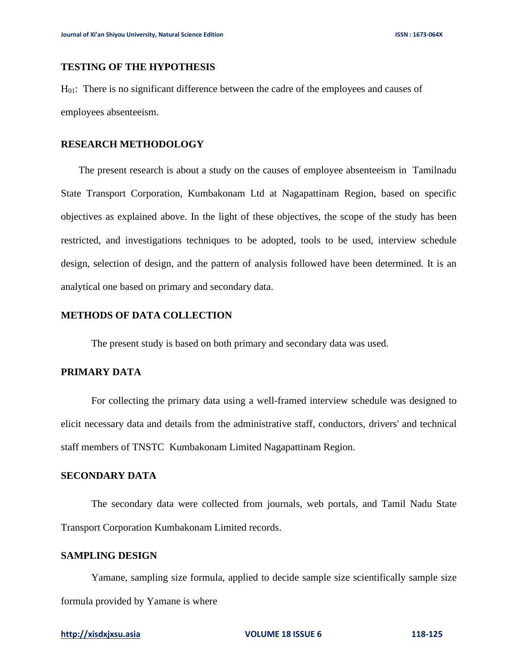# **TESTING OF THE HYPOTHESIS**

H01: There is no significant difference between the cadre of the employees and causes of employees absenteeism.

### **RESEARCH METHODOLOGY**

 The present research is about a study on the causes of employee absenteeism in Tamilnadu State Transport Corporation, Kumbakonam Ltd at Nagapattinam Region, based on specific objectives as explained above. In the light of these objectives, the scope of the study has been restricted, and investigations techniques to be adopted, tools to be used, interview schedule design, selection of design, and the pattern of analysis followed have been determined. It is an analytical one based on primary and secondary data.

#### **METHODS OF DATA COLLECTION**

The present study is based on both primary and secondary data was used.

## **PRIMARY DATA**

For collecting the primary data using a well-framed interview schedule was designed to elicit necessary data and details from the administrative staff, conductors, drivers' and technical staff members of TNSTC Kumbakonam Limited Nagapattinam Region.

# **SECONDARY DATA**

The secondary data were collected from journals, web portals, and Tamil Nadu State Transport Corporation Kumbakonam Limited records.

# **SAMPLING DESIGN**

Yamane, sampling size formula, applied to decide sample size scientifically sample size formula provided by Yamane is where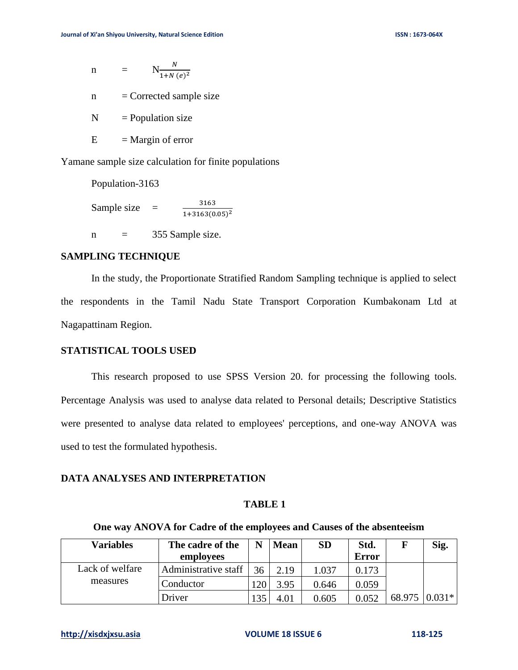$$
n = N \frac{N}{1 + N (e)^2}
$$

 $n =$  Corrected sample size

 $N =$  Population size

 $E = Margin$  of error

Yamane sample size calculation for finite populations

Population-3163 Sample size  $=$ 3163  $1+3163(0.05)^2$  $n = 355$  Sample size.

### **SAMPLING TECHNIQUE**

In the study, the Proportionate Stratified Random Sampling technique is applied to select the respondents in the Tamil Nadu State Transport Corporation Kumbakonam Ltd at Nagapattinam Region.

#### **STATISTICAL TOOLS USED**

This research proposed to use SPSS Version 20. for processing the following tools. Percentage Analysis was used to analyse data related to Personal details; Descriptive Statistics were presented to analyse data related to employees' perceptions, and one-way ANOVA was used to test the formulated hypothesis.

#### **DATA ANALYSES AND INTERPRETATION**

# **TABLE 1**

### **One way ANOVA for Cadre of the employees and Causes of the absenteeism**

| <b>Variables</b> | The cadre of the     | N   | <b>Mean</b> | <b>SD</b> | Std.         |               | Sig. |
|------------------|----------------------|-----|-------------|-----------|--------------|---------------|------|
|                  | employees            |     |             |           | <b>Error</b> |               |      |
| Lack of welfare  | Administrative staff | 36  | 2.19        | 1.037     | 0.173        |               |      |
| measures         | Conductor            | 120 | 3.95        | 0.646     | 0.059        |               |      |
|                  | Driver               | 135 | 4.01        | 0.605     | 0.052        | 68.975 0.031* |      |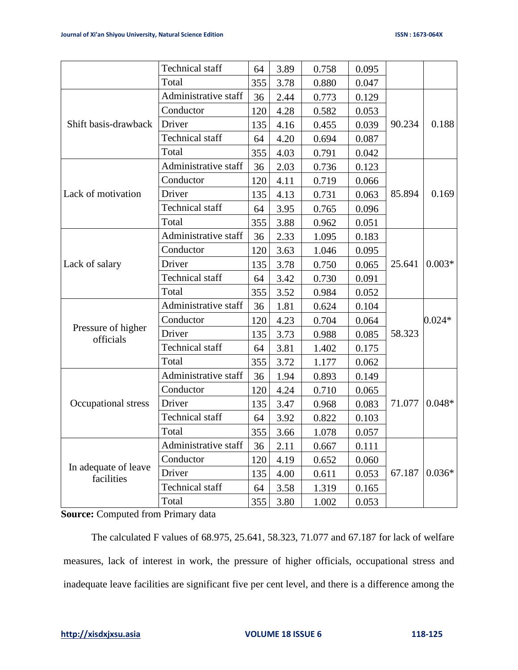|                                    | <b>Technical</b> staff | 64  | 3.89 | 0.758 | 0.095 |        |          |
|------------------------------------|------------------------|-----|------|-------|-------|--------|----------|
|                                    | Total                  | 355 | 3.78 | 0.880 | 0.047 |        |          |
| Shift basis-drawback               | Administrative staff   | 36  | 2.44 | 0.773 | 0.129 | 90.234 | 0.188    |
|                                    | Conductor              | 120 | 4.28 | 0.582 | 0.053 |        |          |
|                                    | Driver                 | 135 | 4.16 | 0.455 | 0.039 |        |          |
|                                    | <b>Technical staff</b> | 64  | 4.20 | 0.694 | 0.087 |        |          |
|                                    | Total                  | 355 | 4.03 | 0.791 | 0.042 |        |          |
|                                    | Administrative staff   | 36  | 2.03 | 0.736 | 0.123 | 85.894 | 0.169    |
|                                    | Conductor              | 120 | 4.11 | 0.719 | 0.066 |        |          |
| Lack of motivation                 | Driver                 | 135 | 4.13 | 0.731 | 0.063 |        |          |
|                                    | <b>Technical staff</b> | 64  | 3.95 | 0.765 | 0.096 |        |          |
|                                    | Total                  | 355 | 3.88 | 0.962 | 0.051 |        |          |
| Lack of salary                     | Administrative staff   | 36  | 2.33 | 1.095 | 0.183 | 25.641 | $0.003*$ |
|                                    | Conductor              | 120 | 3.63 | 1.046 | 0.095 |        |          |
|                                    | Driver                 | 135 | 3.78 | 0.750 | 0.065 |        |          |
|                                    | <b>Technical staff</b> | 64  | 3.42 | 0.730 | 0.091 |        |          |
|                                    | Total                  | 355 | 3.52 | 0.984 | 0.052 |        |          |
| Pressure of higher<br>officials    | Administrative staff   | 36  | 1.81 | 0.624 | 0.104 | 58.323 | $0.024*$ |
|                                    | Conductor              | 120 | 4.23 | 0.704 | 0.064 |        |          |
|                                    | Driver                 | 135 | 3.73 | 0.988 | 0.085 |        |          |
|                                    | <b>Technical</b> staff | 64  | 3.81 | 1.402 | 0.175 |        |          |
|                                    | Total                  | 355 | 3.72 | 1.177 | 0.062 |        |          |
| Occupational stress                | Administrative staff   | 36  | 1.94 | 0.893 | 0.149 | 71.077 | $0.048*$ |
|                                    | Conductor              | 120 | 4.24 | 0.710 | 0.065 |        |          |
|                                    | Driver                 | 135 | 3.47 | 0.968 | 0.083 |        |          |
|                                    | <b>Technical staff</b> | 64  | 3.92 | 0.822 | 0.103 |        |          |
|                                    | Total                  | 355 | 3.66 | 1.078 | 0.057 |        |          |
| In adequate of leave<br>facilities | Administrative staff   | 36  | 2.11 | 0.667 | 0.111 | 67.187 | $0.036*$ |
|                                    | Conductor              | 120 | 4.19 | 0.652 | 0.060 |        |          |
|                                    | Driver                 | 135 | 4.00 | 0.611 | 0.053 |        |          |
|                                    | <b>Technical</b> staff | 64  | 3.58 | 1.319 | 0.165 |        |          |
|                                    | Total                  | 355 | 3.80 | 1.002 | 0.053 |        |          |

**Source:** Computed from Primary data

The calculated F values of 68.975, 25.641, 58.323, 71.077 and 67.187 for lack of welfare measures, lack of interest in work, the pressure of higher officials, occupational stress and inadequate leave facilities are significant five per cent level, and there is a difference among the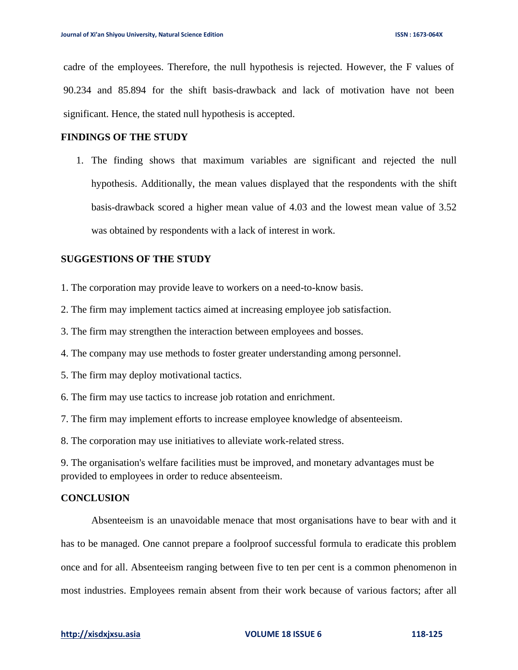cadre of the employees. Therefore, the null hypothesis is rejected. However, the F values of 90.234 and 85.894 for the shift basis-drawback and lack of motivation have not been significant. Hence, the stated null hypothesis is accepted.

### **FINDINGS OF THE STUDY**

1. The finding shows that maximum variables are significant and rejected the null hypothesis. Additionally, the mean values displayed that the respondents with the shift basis-drawback scored a higher mean value of 4.03 and the lowest mean value of 3.52 was obtained by respondents with a lack of interest in work.

### **SUGGESTIONS OF THE STUDY**

- 1. The corporation may provide leave to workers on a need-to-know basis.
- 2. The firm may implement tactics aimed at increasing employee job satisfaction.
- 3. The firm may strengthen the interaction between employees and bosses.
- 4. The company may use methods to foster greater understanding among personnel.
- 5. The firm may deploy motivational tactics.
- 6. The firm may use tactics to increase job rotation and enrichment.
- 7. The firm may implement efforts to increase employee knowledge of absenteeism.

8. The corporation may use initiatives to alleviate work-related stress.

9. The organisation's welfare facilities must be improved, and monetary advantages must be provided to employees in order to reduce absenteeism.

# **CONCLUSION**

Absenteeism is an unavoidable menace that most organisations have to bear with and it has to be managed. One cannot prepare a foolproof successful formula to eradicate this problem once and for all. Absenteeism ranging between five to ten per cent is a common phenomenon in most industries. Employees remain absent from their work because of various factors; after all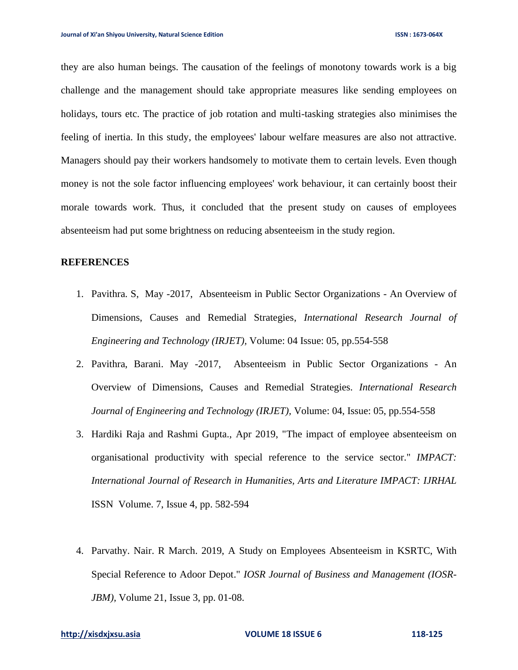they are also human beings. The causation of the feelings of monotony towards work is a big challenge and the management should take appropriate measures like sending employees on holidays, tours etc. The practice of job rotation and multi-tasking strategies also minimises the feeling of inertia. In this study, the employees' labour welfare measures are also not attractive. Managers should pay their workers handsomely to motivate them to certain levels. Even though money is not the sole factor influencing employees' work behaviour, it can certainly boost their morale towards work. Thus, it concluded that the present study on causes of employees absenteeism had put some brightness on reducing absenteeism in the study region.

#### **REFERENCES**

- 1. Pavithra. S, May -2017,Absenteeism in Public Sector Organizations An Overview of Dimensions, Causes and Remedial Strategies, *International Research Journal of Engineering and Technology (IRJET),* Volume: 04 Issue: 05, pp.554-558
- 2. Pavithra, Barani. May -2017, Absenteeism in Public Sector Organizations An Overview of Dimensions, Causes and Remedial Strategies. *International Research Journal of Engineering and Technology (IRJET),* Volume: 04, Issue: 05, pp.554-558
- 3. Hardiki Raja and Rashmi Gupta., Apr 2019, "The impact of employee absenteeism on organisational productivity with special reference to the service sector." *IMPACT: International Journal of Research in Humanities, Arts and Literature IMPACT: IJRHAL* ISSN Volume. 7, Issue 4, pp. 582-594
- 4. Parvathy. Nair. R March. 2019, A Study on Employees Absenteeism in KSRTC, With Special Reference to Adoor Depot." *IOSR Journal of Business and Management (IOSR-JBM*), Volume 21, Issue 3, pp. 01-08.